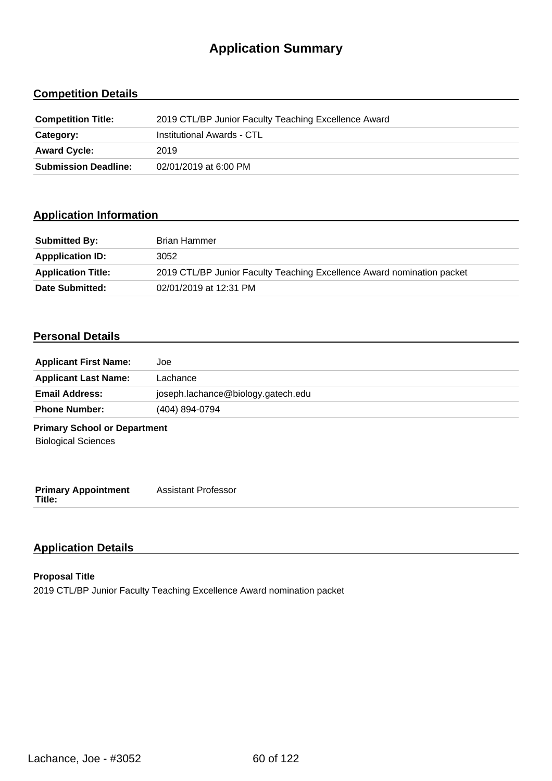# **Application Summary**

## **Competition Details**

| <b>Competition Title:</b>   | 2019 CTL/BP Junior Faculty Teaching Excellence Award |
|-----------------------------|------------------------------------------------------|
| Category:                   | Institutional Awards - CTL                           |
| <b>Award Cycle:</b>         | 2019                                                 |
| <b>Submission Deadline:</b> | 02/01/2019 at 6:00 PM                                |

### **Application Information**

| <b>Submitted By:</b>      | <b>Brian Hammer</b>                                                    |
|---------------------------|------------------------------------------------------------------------|
| <b>Appplication ID:</b>   | 3052                                                                   |
| <b>Application Title:</b> | 2019 CTL/BP Junior Faculty Teaching Excellence Award nomination packet |
| Date Submitted:           | 02/01/2019 at 12:31 PM                                                 |

#### **Personal Details**

| <b>Applicant First Name:</b>                                      | Joe                                |
|-------------------------------------------------------------------|------------------------------------|
| <b>Applicant Last Name:</b>                                       | Lachance                           |
| <b>Email Address:</b>                                             | joseph.lachance@biology.gatech.edu |
| <b>Phone Number:</b>                                              | (404) 894-0794                     |
| <b>Primary School or Department</b><br><b>Biological Sciences</b> |                                    |
| <b>Primary Appointment</b><br>Title:                              | <b>Assistant Professor</b>         |

## **Application Details**

#### **Proposal Title** 2019 CTL/BP Junior Faculty Teaching Excellence Award nomination packet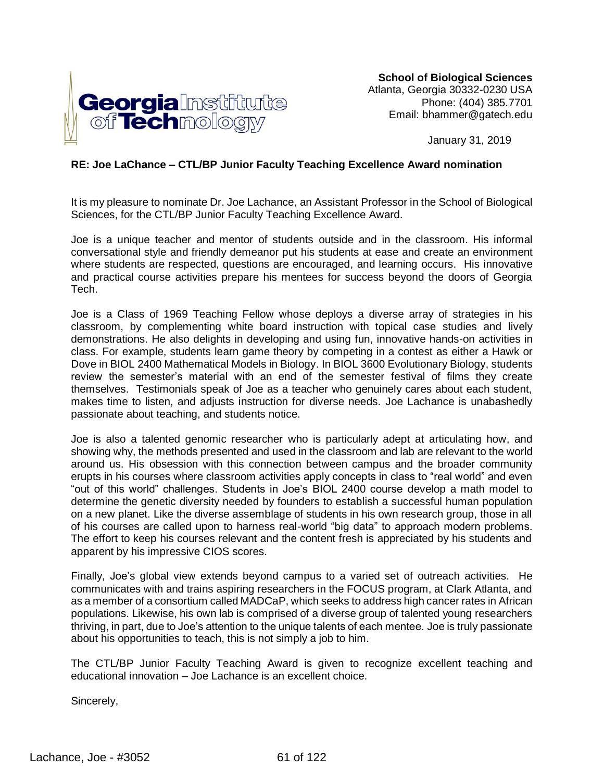

**School of Biological Sciences** Atlanta, Georgia 30332-0230 USA Phone: (404) 385.7701 Email: bhammer@gatech.edu

January 31, 2019

#### **RE: Joe LaChance – CTL/BP Junior Faculty Teaching Excellence Award nomination**

It is my pleasure to nominate Dr. Joe Lachance, an Assistant Professor in the School of Biological Sciences, for the CTL/BP Junior Faculty Teaching Excellence Award.

Joe is a unique teacher and mentor of students outside and in the classroom. His informal conversational style and friendly demeanor put his students at ease and create an environment where students are respected, questions are encouraged, and learning occurs. His innovative and practical course activities prepare his mentees for success beyond the doors of Georgia Tech.

Joe is a Class of 1969 Teaching Fellow whose deploys a diverse array of strategies in his classroom, by complementing white board instruction with topical case studies and lively demonstrations. He also delights in developing and using fun, innovative hands-on activities in class. For example, students learn game theory by competing in a contest as either a Hawk or Dove in BIOL 2400 Mathematical Models in Biology. In BIOL 3600 Evolutionary Biology, students review the semester's material with an end of the semester festival of films they create themselves. Testimonials speak of Joe as a teacher who genuinely cares about each student, makes time to listen, and adjusts instruction for diverse needs. Joe Lachance is unabashedly passionate about teaching, and students notice.

Joe is also a talented genomic researcher who is particularly adept at articulating how, and showing why, the methods presented and used in the classroom and lab are relevant to the world around us. His obsession with this connection between campus and the broader community erupts in his courses where classroom activities apply concepts in class to "real world" and even "out of this world" challenges. Students in Joe's BIOL 2400 course develop a math model to determine the genetic diversity needed by founders to establish a successful human population on a new planet. Like the diverse assemblage of students in his own research group, those in all of his courses are called upon to harness real-world "big data" to approach modern problems. The effort to keep his courses relevant and the content fresh is appreciated by his students and apparent by his impressive CIOS scores.

Finally, Joe's global view extends beyond campus to a varied set of outreach activities. He communicates with and trains aspiring researchers in the FOCUS program, at Clark Atlanta, and as a member of a consortium called MADCaP, which seeks to address high cancer rates in African populations. Likewise, his own lab is comprised of a diverse group of talented young researchers thriving, in part, due to Joe's attention to the unique talents of each mentee. Joe is truly passionate about his opportunities to teach, this is not simply a job to him.

The CTL/BP Junior Faculty Teaching Award is given to recognize excellent teaching and educational innovation – Joe Lachance is an excellent choice.

Sincerely,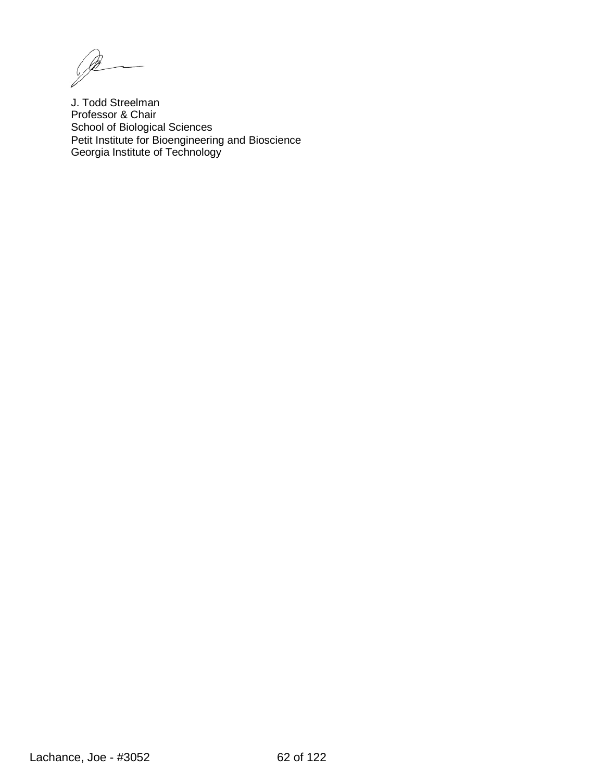$\mathscr{P}$ 

J. Todd Streelman Professor & Chair School of Biological Sciences Petit Institute for Bioengineering and Bioscience Georgia Institute of Technology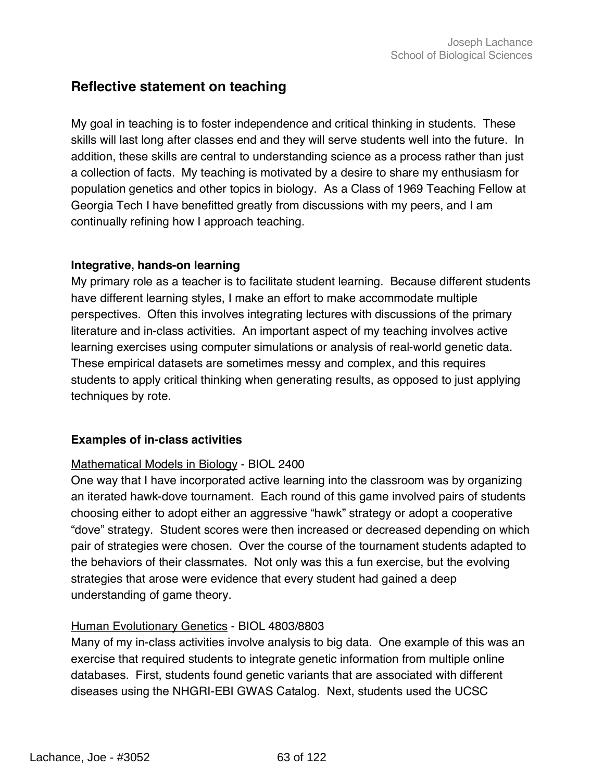## **Reflective statement on teaching**

My goal in teaching is to foster independence and critical thinking in students. These skills will last long after classes end and they will serve students well into the future. In addition, these skills are central to understanding science as a process rather than just a collection of facts. My teaching is motivated by a desire to share my enthusiasm for population genetics and other topics in biology. As a Class of 1969 Teaching Fellow at Georgia Tech I have benefitted greatly from discussions with my peers, and I am continually refining how I approach teaching.

#### **Integrative, hands-on learning**

My primary role as a teacher is to facilitate student learning. Because different students have different learning styles, I make an effort to make accommodate multiple perspectives. Often this involves integrating lectures with discussions of the primary literature and in-class activities. An important aspect of my teaching involves active learning exercises using computer simulations or analysis of real-world genetic data. These empirical datasets are sometimes messy and complex, and this requires students to apply critical thinking when generating results, as opposed to just applying techniques by rote.

### **Examples of in-class activities**

### Mathematical Models in Biology - BIOL 2400

One way that I have incorporated active learning into the classroom was by organizing an iterated hawk-dove tournament. Each round of this game involved pairs of students choosing either to adopt either an aggressive "hawk" strategy or adopt a cooperative "dove" strategy. Student scores were then increased or decreased depending on which pair of strategies were chosen. Over the course of the tournament students adapted to the behaviors of their classmates. Not only was this a fun exercise, but the evolving strategies that arose were evidence that every student had gained a deep understanding of game theory.

#### Human Evolutionary Genetics - BIOL 4803/8803

Many of my in-class activities involve analysis to big data. One example of this was an exercise that required students to integrate genetic information from multiple online databases. First, students found genetic variants that are associated with different diseases using the NHGRI-EBI GWAS Catalog. Next, students used the UCSC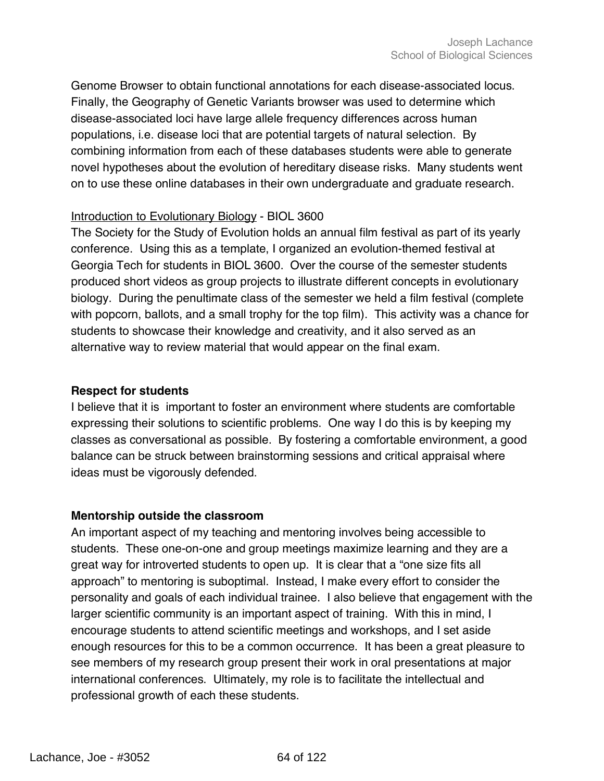Genome Browser to obtain functional annotations for each disease-associated locus. Finally, the Geography of Genetic Variants browser was used to determine which disease-associated loci have large allele frequency differences across human populations, i.e. disease loci that are potential targets of natural selection. By combining information from each of these databases students were able to generate novel hypotheses about the evolution of hereditary disease risks. Many students went on to use these online databases in their own undergraduate and graduate research.

#### Introduction to Evolutionary Biology - BIOL 3600

The Society for the Study of Evolution holds an annual film festival as part of its yearly conference. Using this as a template, I organized an evolution-themed festival at Georgia Tech for students in BIOL 3600. Over the course of the semester students produced short videos as group projects to illustrate different concepts in evolutionary biology. During the penultimate class of the semester we held a film festival (complete with popcorn, ballots, and a small trophy for the top film). This activity was a chance for students to showcase their knowledge and creativity, and it also served as an alternative way to review material that would appear on the final exam.

#### **Respect for students**

I believe that it is important to foster an environment where students are comfortable expressing their solutions to scientific problems. One way I do this is by keeping my classes as conversational as possible. By fostering a comfortable environment, a good balance can be struck between brainstorming sessions and critical appraisal where ideas must be vigorously defended.

#### **Mentorship outside the classroom**

An important aspect of my teaching and mentoring involves being accessible to students. These one-on-one and group meetings maximize learning and they are a great way for introverted students to open up. It is clear that a "one size fits all approach" to mentoring is suboptimal. Instead, I make every effort to consider the personality and goals of each individual trainee. I also believe that engagement with the larger scientific community is an important aspect of training. With this in mind, I encourage students to attend scientific meetings and workshops, and I set aside enough resources for this to be a common occurrence. It has been a great pleasure to see members of my research group present their work in oral presentations at major international conferences. Ultimately, my role is to facilitate the intellectual and professional growth of each these students.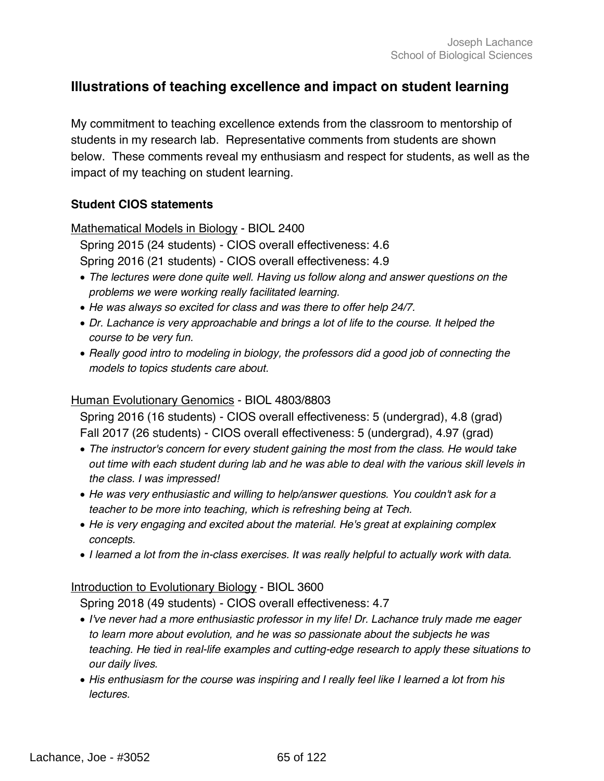## **Illustrations of teaching excellence and impact on student learning**

My commitment to teaching excellence extends from the classroom to mentorship of students in my research lab. Representative comments from students are shown below. These comments reveal my enthusiasm and respect for students, as well as the impact of my teaching on student learning.

#### **Student CIOS statements**

Mathematical Models in Biology - BIOL 2400

Spring 2015 (24 students) - CIOS overall effectiveness: 4.6

Spring 2016 (21 students) - CIOS overall effectiveness: 4.9

- *The lectures were done quite well. Having us follow along and answer questions on the problems we were working really facilitated learning.*
- *He was always so excited for class and was there to offer help 24/7.*
- *Dr. Lachance is very approachable and brings a lot of life to the course. It helped the course to be very fun.*
- *Really good intro to modeling in biology, the professors did a good job of connecting the models to topics students care about.*

#### Human Evolutionary Genomics - BIOL 4803/8803

Spring 2016 (16 students) - CIOS overall effectiveness: 5 (undergrad), 4.8 (grad) Fall 2017 (26 students) - CIOS overall effectiveness: 5 (undergrad), 4.97 (grad)

- *The instructor's concern for every student gaining the most from the class. He would take out time with each student during lab and he was able to deal with the various skill levels in the class. I was impressed!*
- *He was very enthusiastic and willing to help/answer questions. You couldn't ask for a teacher to be more into teaching, which is refreshing being at Tech.*
- *He is very engaging and excited about the material. He's great at explaining complex concepts.*
- *I learned a lot from the in-class exercises. It was really helpful to actually work with data.*

#### Introduction to Evolutionary Biology - BIOL 3600

Spring 2018 (49 students) - CIOS overall effectiveness: 4.7

- *I've never had a more enthusiastic professor in my life! Dr. Lachance truly made me eager to learn more about evolution, and he was so passionate about the subjects he was teaching. He tied in real-life examples and cutting-edge research to apply these situations to our daily lives.*
- *His enthusiasm for the course was inspiring and I really feel like I learned a lot from his lectures.*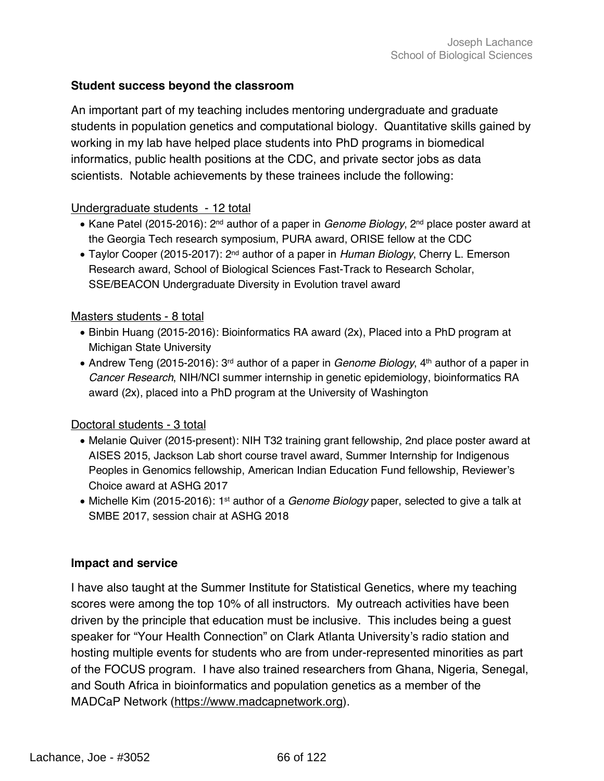### **Student success beyond the classroom**

An important part of my teaching includes mentoring undergraduate and graduate students in population genetics and computational biology. Quantitative skills gained by working in my lab have helped place students into PhD programs in biomedical informatics, public health positions at the CDC, and private sector jobs as data scientists. Notable achievements by these trainees include the following:

#### Undergraduate students - 12 total

- Kane Patel (2015-2016): 2<sup>nd</sup> author of a paper in *Genome Biology*, 2<sup>nd</sup> place poster award at the Georgia Tech research symposium, PURA award, ORISE fellow at the CDC
- Taylor Cooper (2015-2017): 2nd author of a paper in *Human Biology*, Cherry L. Emerson Research award, School of Biological Sciences Fast-Track to Research Scholar, SSE/BEACON Undergraduate Diversity in Evolution travel award

#### Masters students - 8 total

- Binbin Huang (2015-2016): Bioinformatics RA award (2x), Placed into a PhD program at Michigan State University
- Andrew Teng (2015-2016): 3<sup>rd</sup> author of a paper in *Genome Biology*, 4<sup>th</sup> author of a paper in *Cancer Research*, NIH/NCI summer internship in genetic epidemiology, bioinformatics RA award (2x), placed into a PhD program at the University of Washington

#### Doctoral students - 3 total

- Melanie Quiver (2015-present): NIH T32 training grant fellowship, 2nd place poster award at AISES 2015, Jackson Lab short course travel award, Summer Internship for Indigenous Peoples in Genomics fellowship, American Indian Education Fund fellowship, Reviewer's Choice award at ASHG 2017
- Michelle Kim (2015-2016): 1st author of a *Genome Biology* paper, selected to give a talk at SMBE 2017, session chair at ASHG 2018

#### **Impact and service**

I have also taught at the Summer Institute for Statistical Genetics, where my teaching scores were among the top 10% of all instructors. My outreach activities have been driven by the principle that education must be inclusive. This includes being a guest speaker for "Your Health Connection" on Clark Atlanta University's radio station and hosting multiple events for students who are from under-represented minorities as part of the FOCUS program. I have also trained researchers from Ghana, Nigeria, Senegal, and South Africa in bioinformatics and population genetics as a member of the MADCaP Network (https://www.madcapnetwork.org).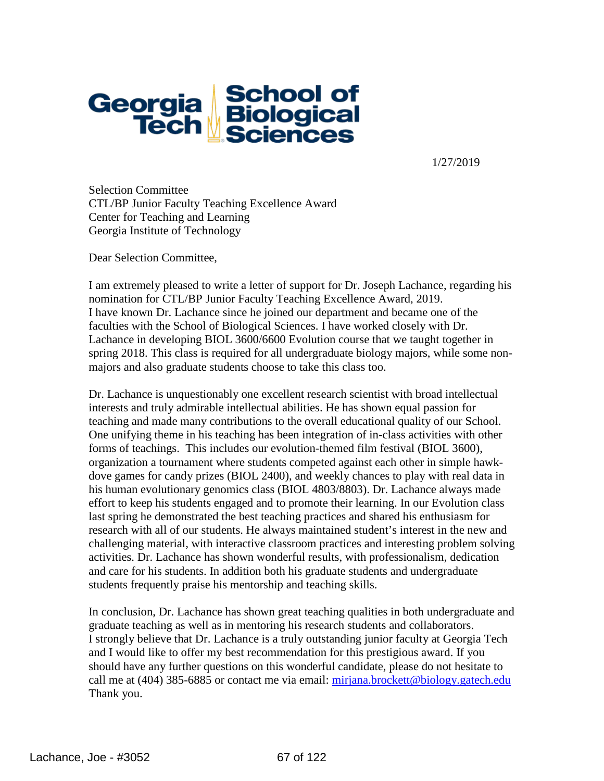

1/27/2019

Selection Committee CTL/BP Junior Faculty Teaching Excellence Award Center for Teaching and Learning Georgia Institute of Technology

Dear Selection Committee,

I am extremely pleased to write a letter of support for Dr. Joseph Lachance, regarding his nomination for CTL/BP Junior Faculty Teaching Excellence Award, 2019. I have known Dr. Lachance since he joined our department and became one of the faculties with the School of Biological Sciences. I have worked closely with Dr. Lachance in developing BIOL 3600/6600 Evolution course that we taught together in spring 2018. This class is required for all undergraduate biology majors, while some nonmajors and also graduate students choose to take this class too.

Dr. Lachance is unquestionably one excellent research scientist with broad intellectual interests and truly admirable intellectual abilities. He has shown equal passion for teaching and made many contributions to the overall educational quality of our School. One unifying theme in his teaching has been integration of in-class activities with other forms of teachings. This includes our evolution-themed film festival (BIOL 3600), organization a tournament where students competed against each other in simple hawkdove games for candy prizes (BIOL 2400), and weekly chances to play with real data in his human evolutionary genomics class (BIOL 4803/8803). Dr. Lachance always made effort to keep his students engaged and to promote their learning. In our Evolution class last spring he demonstrated the best teaching practices and shared his enthusiasm for research with all of our students. He always maintained student's interest in the new and challenging material, with interactive classroom practices and interesting problem solving activities. Dr. Lachance has shown wonderful results, with professionalism, dedication and care for his students. In addition both his graduate students and undergraduate students frequently praise his mentorship and teaching skills.

In conclusion, Dr. Lachance has shown great teaching qualities in both undergraduate and graduate teaching as well as in mentoring his research students and collaborators. I strongly believe that Dr. Lachance is a truly outstanding junior faculty at Georgia Tech and I would like to offer my best recommendation for this prestigious award. If you should have any further questions on this wonderful candidate, please do not hesitate to call me at (404) 385-6885 or contact me via email: [mirjana.brockett@biology.gatech.edu](mailto:mirjana.brockett@biology.gatech.edu) Thank you.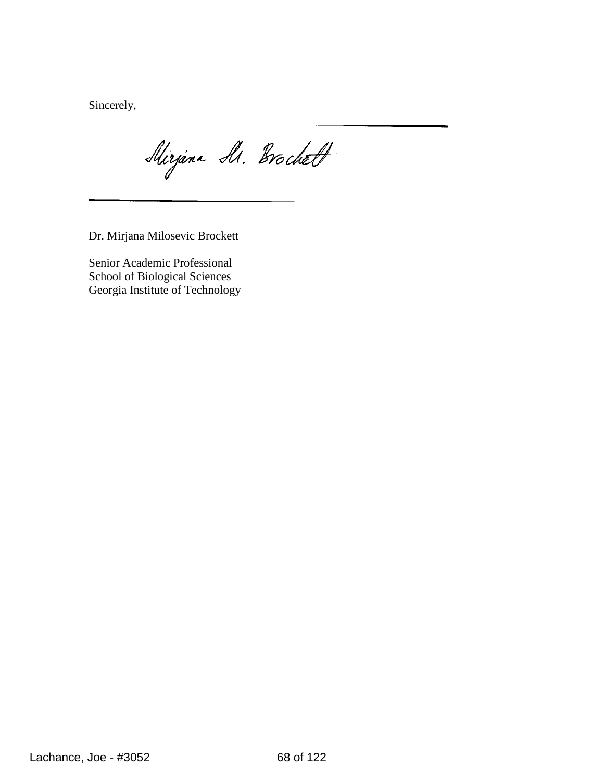Sincerely,

Mirjana M. Brochett

Dr. Mirjana Milosevic Brockett

Senior Academic Professional School of Biological Sciences Georgia Institute of Technology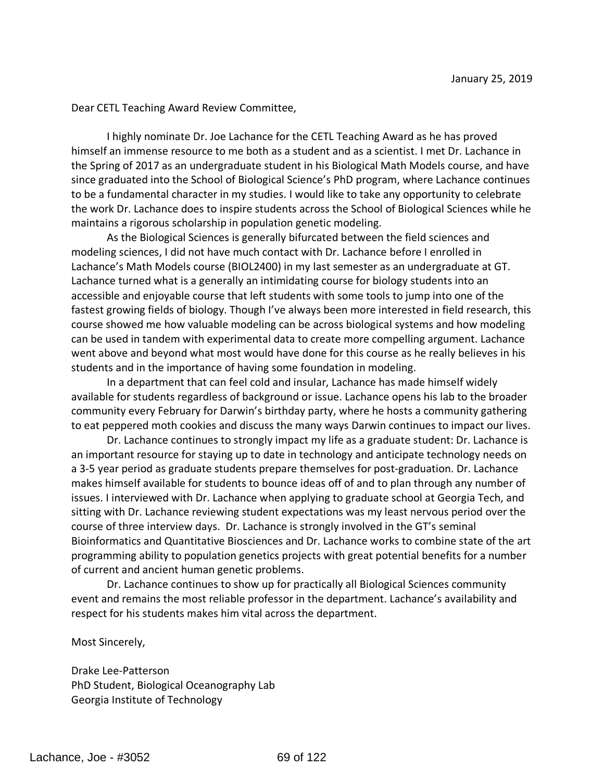Dear CETL Teaching Award Review Committee,

I highly nominate Dr. Joe Lachance for the CETL Teaching Award as he has proved himself an immense resource to me both as a student and as a scientist. I met Dr. Lachance in the Spring of 2017 as an undergraduate student in his Biological Math Models course, and have since graduated into the School of Biological Science's PhD program, where Lachance continues to be a fundamental character in my studies. I would like to take any opportunity to celebrate the work Dr. Lachance does to inspire students across the School of Biological Sciences while he maintains a rigorous scholarship in population genetic modeling.

As the Biological Sciences is generally bifurcated between the field sciences and modeling sciences, I did not have much contact with Dr. Lachance before I enrolled in Lachance's Math Models course (BIOL2400) in my last semester as an undergraduate at GT. Lachance turned what is a generally an intimidating course for biology students into an accessible and enjoyable course that left students with some tools to jump into one of the fastest growing fields of biology. Though I've always been more interested in field research, this course showed me how valuable modeling can be across biological systems and how modeling can be used in tandem with experimental data to create more compelling argument. Lachance went above and beyond what most would have done for this course as he really believes in his students and in the importance of having some foundation in modeling.

In a department that can feel cold and insular, Lachance has made himself widely available for students regardless of background or issue. Lachance opens his lab to the broader community every February for Darwin's birthday party, where he hosts a community gathering to eat peppered moth cookies and discuss the many ways Darwin continues to impact our lives.

Dr. Lachance continues to strongly impact my life as a graduate student: Dr. Lachance is an important resource for staying up to date in technology and anticipate technology needs on a 3-5 year period as graduate students prepare themselves for post-graduation. Dr. Lachance makes himself available for students to bounce ideas off of and to plan through any number of issues. I interviewed with Dr. Lachance when applying to graduate school at Georgia Tech, and sitting with Dr. Lachance reviewing student expectations was my least nervous period over the course of three interview days. Dr. Lachance is strongly involved in the GT's seminal Bioinformatics and Quantitative Biosciences and Dr. Lachance works to combine state of the art programming ability to population genetics projects with great potential benefits for a number of current and ancient human genetic problems.

Dr. Lachance continues to show up for practically all Biological Sciences community event and remains the most reliable professor in the department. Lachance's availability and respect for his students makes him vital across the department.

Most Sincerely,

Drake Lee-Patterson PhD Student, Biological Oceanography Lab Georgia Institute of Technology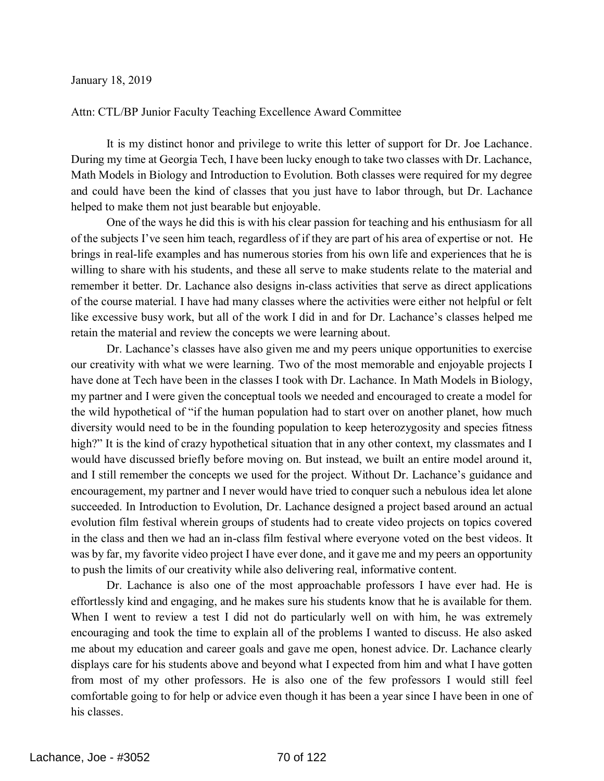#### January 18, 2019

#### Attn: CTL/BP Junior Faculty Teaching Excellence Award Committee

It is my distinct honor and privilege to write this letter of support for Dr. Joe Lachance. During my time at Georgia Tech, I have been lucky enough to take two classes with Dr. Lachance, Math Models in Biology and Introduction to Evolution. Both classes were required for my degree and could have been the kind of classes that you just have to labor through, but Dr. Lachance helped to make them not just bearable but enjoyable.

One of the ways he did this is with his clear passion for teaching and his enthusiasm for all of the subjects I've seen him teach, regardless of if they are part of his area of expertise or not. He brings in real-life examples and has numerous stories from his own life and experiences that he is willing to share with his students, and these all serve to make students relate to the material and remember it better. Dr. Lachance also designs in-class activities that serve as direct applications of the course material. I have had many classes where the activities were either not helpful or felt like excessive busy work, but all of the work I did in and for Dr. Lachance's classes helped me retain the material and review the concepts we were learning about.

Dr. Lachance's classes have also given me and my peers unique opportunities to exercise our creativity with what we were learning. Two of the most memorable and enjoyable projects I have done at Tech have been in the classes I took with Dr. Lachance. In Math Models in Biology, my partner and I were given the conceptual tools we needed and encouraged to create a model for the wild hypothetical of "if the human population had to start over on another planet, how much diversity would need to be in the founding population to keep heterozygosity and species fitness high?" It is the kind of crazy hypothetical situation that in any other context, my classmates and I would have discussed briefly before moving on. But instead, we built an entire model around it, and I still remember the concepts we used for the project. Without Dr. Lachance's guidance and encouragement, my partner and I never would have tried to conquer such a nebulous idea let alone succeeded. In Introduction to Evolution, Dr. Lachance designed a project based around an actual evolution film festival wherein groups of students had to create video projects on topics covered in the class and then we had an in-class film festival where everyone voted on the best videos. It was by far, my favorite video project I have ever done, and it gave me and my peers an opportunity to push the limits of our creativity while also delivering real, informative content.

Dr. Lachance is also one of the most approachable professors I have ever had. He is effortlessly kind and engaging, and he makes sure his students know that he is available for them. When I went to review a test I did not do particularly well on with him, he was extremely encouraging and took the time to explain all of the problems I wanted to discuss. He also asked me about my education and career goals and gave me open, honest advice. Dr. Lachance clearly displays care for his students above and beyond what I expected from him and what I have gotten from most of my other professors. He is also one of the few professors I would still feel comfortable going to for help or advice even though it has been a year since I have been in one of his classes.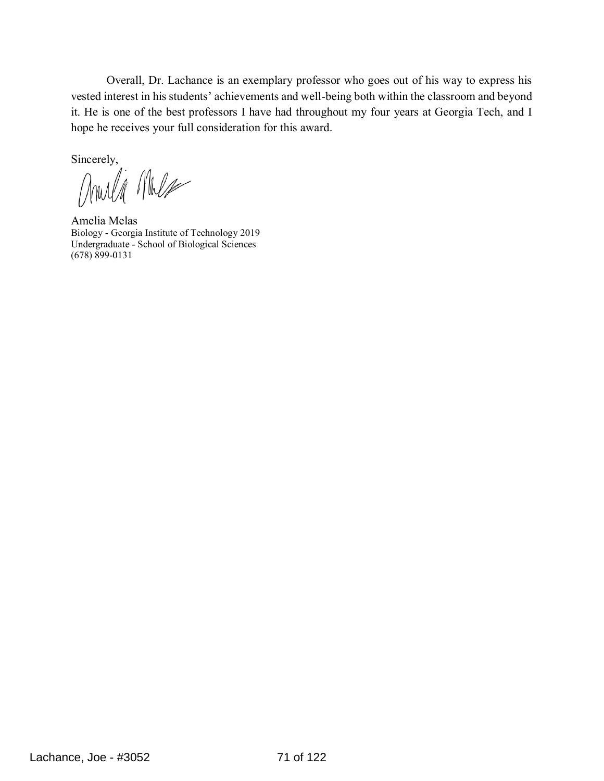Overall, Dr. Lachance is an exemplary professor who goes out of his way to express his vested interest in his students' achievements and well-being both within the classroom and beyond it. He is one of the best professors I have had throughout my four years at Georgia Tech, and I hope he receives your full consideration for this award.

Sincerely,<br>MWU MW

Amelia Melas Biology - Georgia Institute of Technology 2019 Undergraduate - School of Biological Sciences (678) 899-0131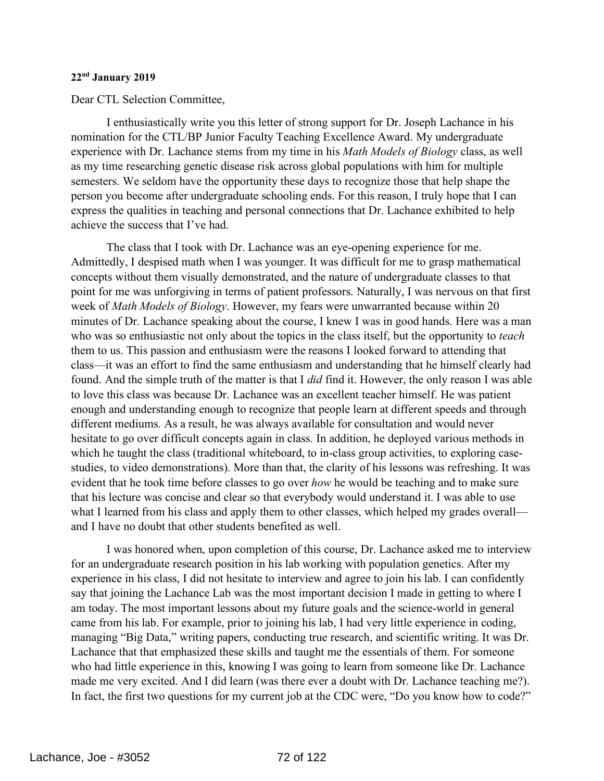#### **22nd January 2019**

Dear CTL Selection Committee,

I enthusiastically write you this letter of strong support for Dr. Joseph Lachance in his nomination for the CTL/BP Junior Faculty Teaching Excellence Award. My undergraduate experience with Dr. Lachance stems from my time in his *Math Models of Biology* class, as well as my time researching genetic disease risk across global populations with him for multiple semesters. We seldom have the opportunity these days to recognize those that help shape the person you become after undergraduate schooling ends. For this reason, I truly hope that I can express the qualities in teaching and personal connections that Dr. Lachance exhibited to help achieve the success that I've had.

The class that I took with Dr. Lachance was an eye-opening experience for me. Admittedly, I despised math when I was younger. It was difficult for me to grasp mathematical concepts without them visually demonstrated, and the nature of undergraduate classes to that point for me was unforgiving in terms of patient professors. Naturally, I was nervous on that first week of *Math Models of Biology*. However, my fears were unwarranted because within 20 minutes of Dr. Lachance speaking about the course, I knew I was in good hands. Here was a man who was so enthusiastic not only about the topics in the class itself, but the opportunity to *teach* them to us. This passion and enthusiasm were the reasons I looked forward to attending that class—it was an effort to find the same enthusiasm and understanding that he himself clearly had found. And the simple truth of the matter is that I *did* find it. However, the only reason I was able to love this class was because Dr. Lachance was an excellent teacher himself. He was patient enough and understanding enough to recognize that people learn at different speeds and through different mediums. As a result, he was always available for consultation and would never hesitate to go over difficult concepts again in class. In addition, he deployed various methods in which he taught the class (traditional whiteboard, to in-class group activities, to exploring casestudies, to video demonstrations). More than that, the clarity of his lessons was refreshing. It was evident that he took time before classes to go over *how* he would be teaching and to make sure that his lecture was concise and clear so that everybody would understand it. I was able to use what I learned from his class and apply them to other classes, which helped my grades overall and I have no doubt that other students benefited as well.

I was honored when, upon completion of this course, Dr. Lachance asked me to interview for an undergraduate research position in his lab working with population genetics. After my experience in his class, I did not hesitate to interview and agree to join his lab. I can confidently say that joining the Lachance Lab was the most important decision I made in getting to where I am today. The most important lessons about my future goals and the science-world in general came from his lab. For example, prior to joining his lab, I had very little experience in coding, managing "Big Data," writing papers, conducting true research, and scientific writing. It was Dr. Lachance that that emphasized these skills and taught me the essentials of them. For someone who had little experience in this, knowing I was going to learn from someone like Dr. Lachance made me very excited. And I did learn (was there ever a doubt with Dr. Lachance teaching me?). In fact, the first two questions for my current job at the CDC were, "Do you know how to code?"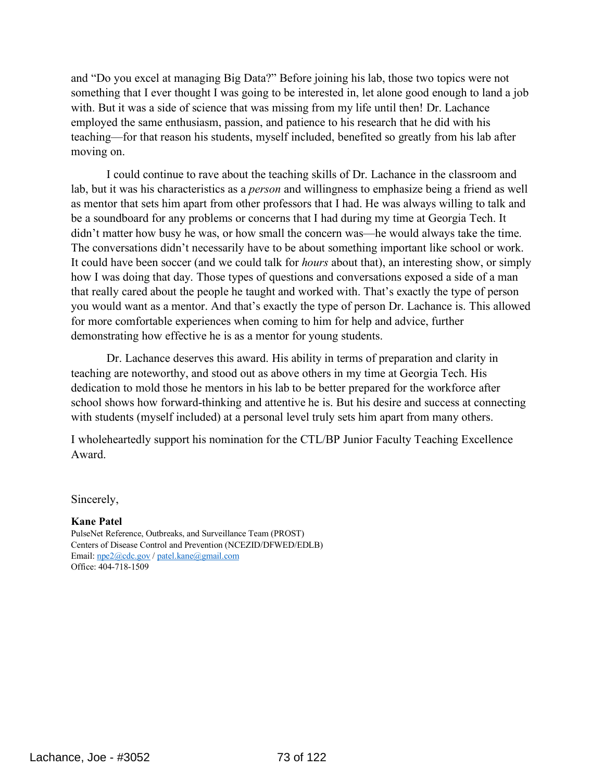and "Do you excel at managing Big Data?" Before joining his lab, those two topics were not something that I ever thought I was going to be interested in, let alone good enough to land a job with. But it was a side of science that was missing from my life until then! Dr. Lachance employed the same enthusiasm, passion, and patience to his research that he did with his teaching—for that reason his students, myself included, benefited so greatly from his lab after moving on.

I could continue to rave about the teaching skills of Dr. Lachance in the classroom and lab, but it was his characteristics as a *person* and willingness to emphasize being a friend as well as mentor that sets him apart from other professors that I had. He was always willing to talk and be a soundboard for any problems or concerns that I had during my time at Georgia Tech. It didn't matter how busy he was, or how small the concern was—he would always take the time. The conversations didn't necessarily have to be about something important like school or work. It could have been soccer (and we could talk for *hours* about that), an interesting show, or simply how I was doing that day. Those types of questions and conversations exposed a side of a man that really cared about the people he taught and worked with. That's exactly the type of person you would want as a mentor. And that's exactly the type of person Dr. Lachance is. This allowed for more comfortable experiences when coming to him for help and advice, further demonstrating how effective he is as a mentor for young students.

Dr. Lachance deserves this award. His ability in terms of preparation and clarity in teaching are noteworthy, and stood out as above others in my time at Georgia Tech. His dedication to mold those he mentors in his lab to be better prepared for the workforce after school shows how forward-thinking and attentive he is. But his desire and success at connecting with students (myself included) at a personal level truly sets him apart from many others.

I wholeheartedly support his nomination for the CTL/BP Junior Faculty Teaching Excellence Award.

Sincerely,

**Kane Patel**

PulseNet Reference, Outbreaks, and Surveillance Team (PROST) Centers of Disease Control and Prevention (NCEZID/DFWED/EDLB) Email: npe2@cdc.gov / patel.kane@gmail.com Office: 404-718-1509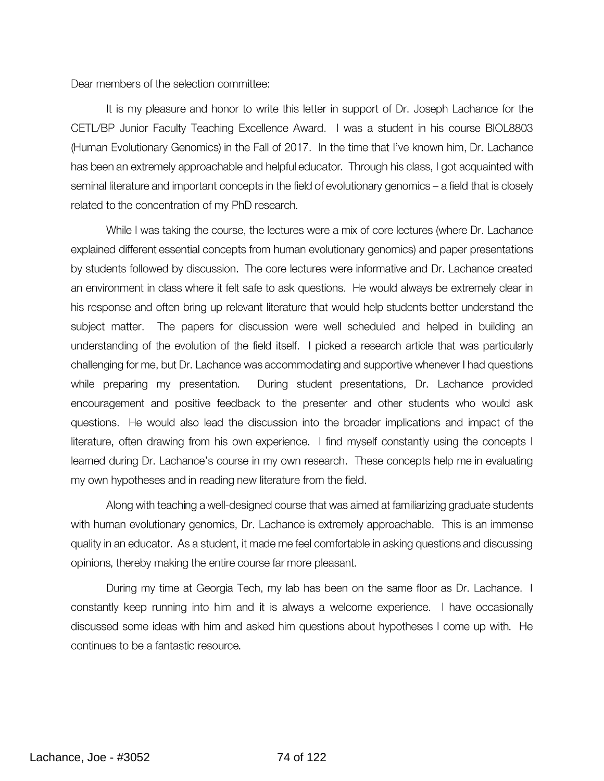Dear members of the selection committee:

It is my pleasure and honor to write this letter in support of Dr. Joseph Lachance for the CETL/BP Junior Faculty Teaching Excellence Award. I was a student in his course BIOL8803 (Human Evolutionary Genomics) in the Fall of 2017. In the time that I've known him, Dr. Lachance has been an extremely approachable and helpful educator. Through his class, I got acquainted with seminal literature and important concepts in the field of evolutionary genomics - a field that is closely related to the concentration of my PhD research.

While I was taking the course, the lectures were a mix of core lectures (where Dr. Lachance explained different essential concepts from human evolutionary genomics) and paper presentations by students followed by discussion. The core lectures were informative and Dr. Lachance created an environment in class where it felt safe to ask questions. He would always be extremely clear in his response and often bring up relevant literature that would help students better understand the subject matter. The papers for discussion were well scheduled and helped in building an understanding of the evolution of the field itself. I picked a research article that was particularly challenging for me, but Dr. Lachance was accommodating and supportive whenever I had questions while preparing my presentation. During student presentations, Dr. Lachance provided encouragement and positive feedback to the presenter and other students who would ask questions. He would also lead the discussion into the broader implications and impact of the literature, often drawing from his own experience. I find myself constantly using the concepts I learned during Dr. Lachance's course in my own research. These concepts help me in evaluating my own hypotheses and in reading new literature from the field.

Along with teaching a well-designed course that was aimed at familiarizing graduate students with human evolutionary genomics, Dr. Lachance is extremely approachable. This is an immense quality in an educator. As a student, it made me feel comfortable in asking questions and discussing opinions, thereby making the entire course far more pleasant.

During my time at Georgia Tech, my lab has been on the same floor as Dr. Lachance. I constantly keep running into him and it is always a welcome experience. I have occasionally discussed some ideas with him and asked him questions about hypotheses I come up with. He continues to be a fantastic resource.